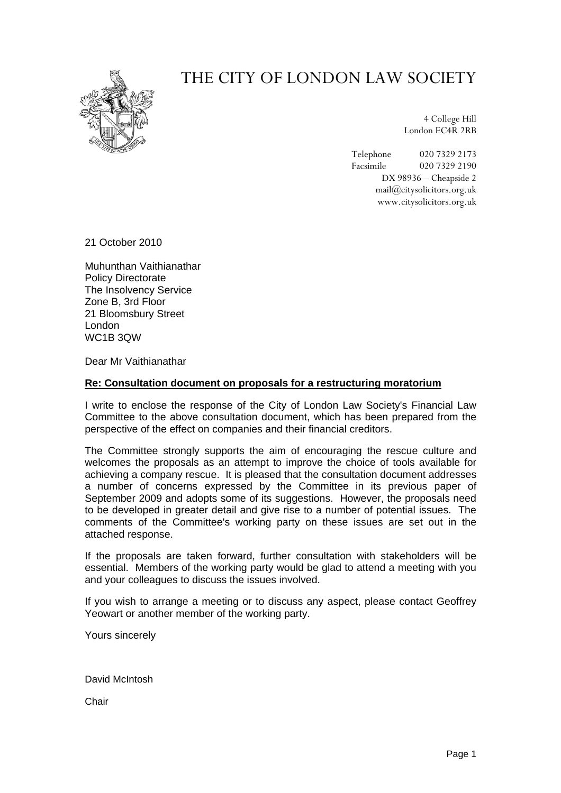

## THE CITY OF LONDON LAW SOCIETY

4 College Hill London EC4R 2RB

Telephone 020 7329 2173 Facsimile 020 7329 2190 DX 98936 – Cheapside 2 mail@citysolicitors.org.uk www.citysolicitors.org.uk

21 October 2010

Muhunthan Vaithianathar Policy Directorate The Insolvency Service Zone B, 3rd Floor 21 Bloomsbury Street London WC1B 3QW

Dear Mr Vaithianathar

## **Re: Consultation document on proposals for a restructuring moratorium**

I write to enclose the response of the City of London Law Society's Financial Law Committee to the above consultation document, which has been prepared from the perspective of the effect on companies and their financial creditors.

The Committee strongly supports the aim of encouraging the rescue culture and welcomes the proposals as an attempt to improve the choice of tools available for achieving a company rescue. It is pleased that the consultation document addresses a number of concerns expressed by the Committee in its previous paper of September 2009 and adopts some of its suggestions. However, the proposals need to be developed in greater detail and give rise to a number of potential issues. The comments of the Committee's working party on these issues are set out in the attached response.

If the proposals are taken forward, further consultation with stakeholders will be essential. Members of the working party would be glad to attend a meeting with you and your colleagues to discuss the issues involved.

If you wish to arrange a meeting or to discuss any aspect, please contact Geoffrey Yeowart or another member of the working party.

Yours sincerely

David McIntosh

**Chair**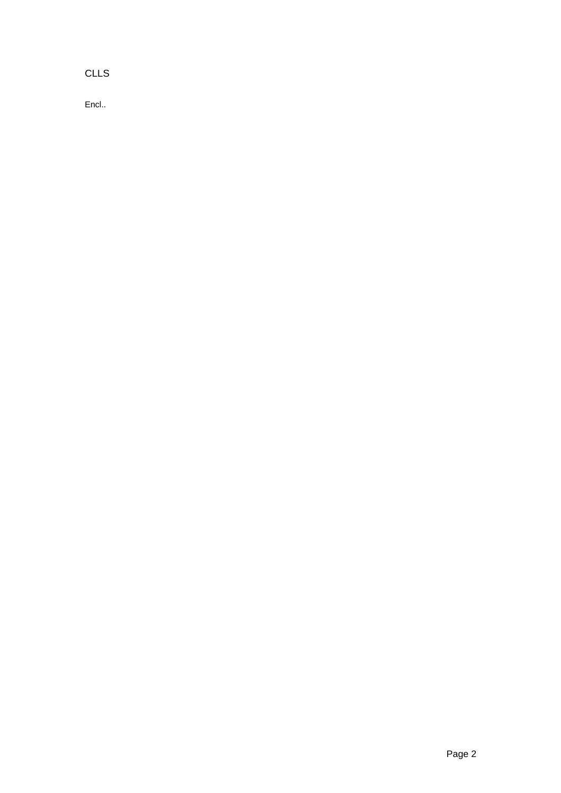CLLS

Encl..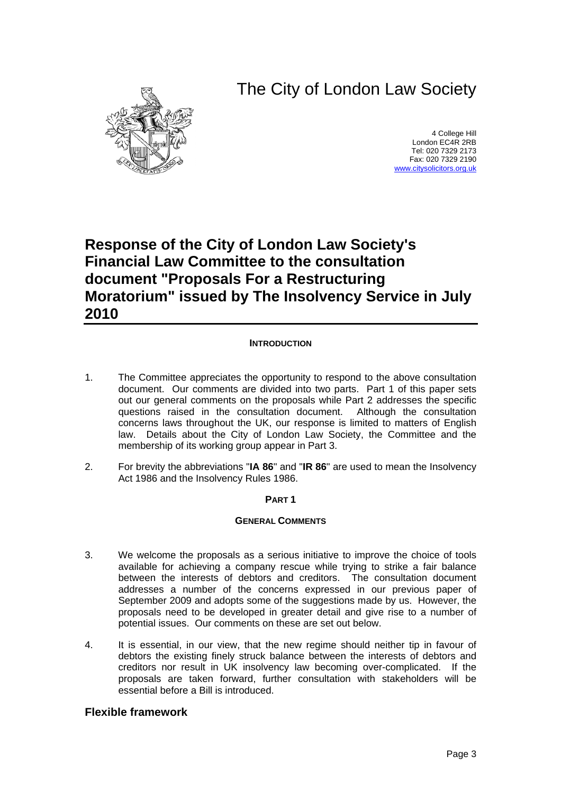# The City of London Law Society



4 College Hill London EC4R 2RB Tel: 020 7329 2173 Fax: 020 7329 2190 [www.citysolicitors.org.uk](http://www.citysolicitors.org.uk/)

## **Response of the City of London Law Society's Financial Law Committee to the consultation document "Proposals For a Restructuring Moratorium" issued by The Insolvency Service in July 2010**

## **INTRODUCTION**

- 1. The Committee appreciates the opportunity to respond to the above consultation document. Our comments are divided into two parts. Part 1 of this paper sets out our general comments on the proposals while Part 2 addresses the specific questions raised in the consultation document. Although the consultation concerns laws throughout the UK, our response is limited to matters of English law. Details about the City of London Law Society, the Committee and the membership of its working group appear in Part 3.
- 2. For brevity the abbreviations "**IA 86**" and "**IR 86**" are used to mean the Insolvency Act 1986 and the Insolvency Rules 1986.

## **PART 1**

#### **GENERAL COMMENTS**

- 3. We welcome the proposals as a serious initiative to improve the choice of tools available for achieving a company rescue while trying to strike a fair balance between the interests of debtors and creditors. The consultation document addresses a number of the concerns expressed in our previous paper of September 2009 and adopts some of the suggestions made by us. However, the proposals need to be developed in greater detail and give rise to a number of potential issues. Our comments on these are set out below.
- 4. It is essential, in our view, that the new regime should neither tip in favour of debtors the existing finely struck balance between the interests of debtors and creditors nor result in UK insolvency law becoming over-complicated. If the proposals are taken forward, further consultation with stakeholders will be essential before a Bill is introduced.

## **Flexible framework**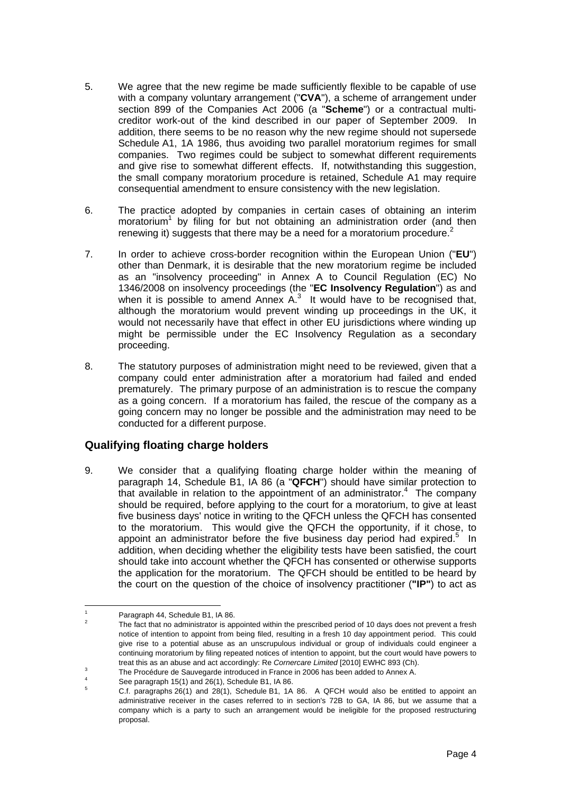- 5. We agree that the new regime be made sufficiently flexible to be capable of use with a company voluntary arrangement ("**CVA**"), a scheme of arrangement under section 899 of the Companies Act 2006 (a "**Scheme**") or a contractual multicreditor work-out of the kind described in our paper of September 2009. In addition, there seems to be no reason why the new regime should not supersede Schedule A1, 1A 1986, thus avoiding two parallel moratorium regimes for small companies. Two regimes could be subject to somewhat different requirements and give rise to somewhat different effects. If, notwithstanding this suggestion, the small company moratorium procedure is retained, Schedule A1 may require consequential amendment to ensure consistency with the new legislation.
- 6. The practice adopted by companies in certain cases of obtaining an interim moratorium<sup>[1](#page-3-0)</sup> by filing for but not obtaining an administration order (and then renewing it) suggests that there may be a need for a moratorium procedure. $2$
- 7. In order to achieve cross-border recognition within the European Union ("**EU**") other than Denmark, it is desirable that the new moratorium regime be included as an "insolvency proceeding" in Annex A to Council Regulation (EC) No 1346/2008 on insolvency proceedings (the "**EC Insolvency Regulation**") as and when it is possible to amend Annex  $A<sup>3</sup>$  $A<sup>3</sup>$  $A<sup>3</sup>$  It would have to be recognised that, although the moratorium would prevent winding up proceedings in the UK, it would not necessarily have that effect in other EU jurisdictions where winding up might be permissible under the EC Insolvency Regulation as a secondary proceeding.
- 8. The statutory purposes of administration might need to be reviewed, given that a company could enter administration after a moratorium had failed and ended prematurely. The primary purpose of an administration is to rescue the company as a going concern. If a moratorium has failed, the rescue of the company as a going concern may no longer be possible and the administration may need to be conducted for a different purpose.

## **Qualifying floating charge holders**

9. We consider that a qualifying floating charge holder within the meaning of paragraph 14, Schedule B1, IA 86 (a "**QFCH**") should have similar protection to that available in relation to the appointment of an administrator.<sup>[4](#page-3-3)</sup> The company should be required, before applying to the court for a moratorium, to give at least five business days' notice in writing to the QFCH unless the QFCH has consented to the moratorium. This would give the QFCH the opportunity, if it chose, to appoint an administrator before the five business day period had expired.<sup>[5](#page-3-4)</sup> In addition, when deciding whether the eligibility tests have been satisfied, the court should take into account whether the QFCH has consented or otherwise supports the application for the moratorium. The QFCH should be entitled to be heard by the court on the question of the choice of insolvency practitioner (**"IP"**) to act as

 $\frac{1}{1}$ 

<span id="page-3-1"></span><span id="page-3-0"></span>Paragraph 44, Schedule B1, IA 86.<br>
<sup>2</sup> The fact that no administrator is appointed within the prescribed period of 10 days does not prevent a fresh notice of intention to appoint from being filed, resulting in a fresh 10 day appointment period. This could give rise to a potential abuse as an unscrupulous individual or group of individuals could engineer a continuing moratorium by filing repeated notices of intention to appoint, but the court would have powers to treat this as an abuse and act accordingly: Re *Cornercare Limited* [2010] EWHC 893 (Ch).

<span id="page-3-2"></span>The Procédure de Sauvegarde introduced in France in 2006 has been added to Annex A.<br>See paragraph 15(1) and 26(1), Schedule B1, IA 86.

<span id="page-3-3"></span>

<span id="page-3-4"></span> $\frac{3}{5}$  C.f. paragraphs 26(1) and 28(1), Schedule B1, 1A 86. A QFCH would also be entitled to appoint an administrative receiver in the cases referred to in section's 72B to GA, IA 86, but we assume that a company which is a party to such an arrangement would be ineligible for the proposed restructuring proposal.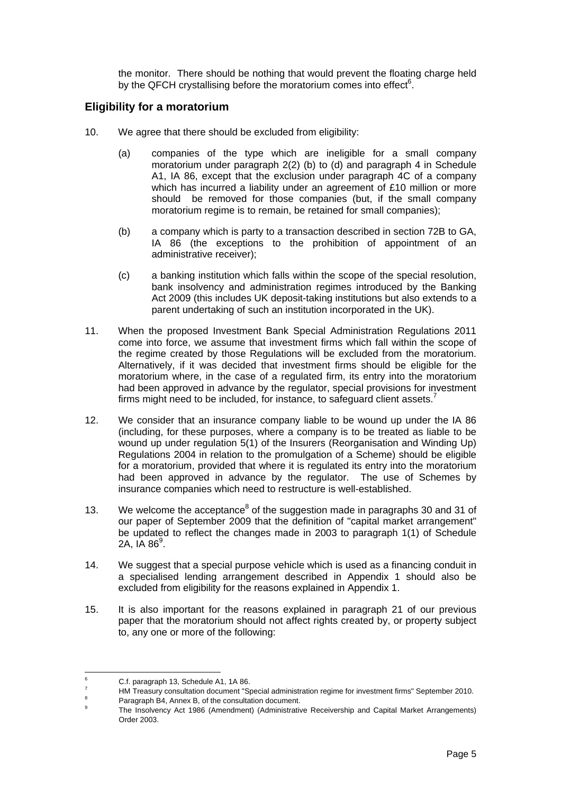the monitor. There should be nothing that would prevent the floating charge held by the QFCH crystallising before the moratorium comes into effect $6$ .

## **Eligibility for a moratorium**

- 10. We agree that there should be excluded from eligibility:
	- (a) companies of the type which are ineligible for a small company moratorium under paragraph 2(2) (b) to (d) and paragraph 4 in Schedule A1, IA 86, except that the exclusion under paragraph 4C of a company which has incurred a liability under an agreement of £10 million or more should be removed for those companies (but, if the small company moratorium regime is to remain, be retained for small companies);
	- (b) a company which is party to a transaction described in section 72B to GA, IA 86 (the exceptions to the prohibition of appointment of an administrative receiver);
	- (c) a banking institution which falls within the scope of the special resolution, bank insolvency and administration regimes introduced by the Banking Act 2009 (this includes UK deposit-taking institutions but also extends to a parent undertaking of such an institution incorporated in the UK).
- 11. When the proposed Investment Bank Special Administration Regulations 2011 come into force, we assume that investment firms which fall within the scope of the regime created by those Regulations will be excluded from the moratorium. Alternatively, if it was decided that investment firms should be eligible for the moratorium where, in the case of a regulated firm, its entry into the moratorium had been approved in advance by the regulator, special provisions for investment firms might need to be included, for instance, to safeguard client assets.<sup>[7](#page-4-1)</sup>
- 12. We consider that an insurance company liable to be wound up under the IA 86 (including, for these purposes, where a company is to be treated as liable to be wound up under regulation 5(1) of the Insurers (Reorganisation and Winding Up) Regulations 2004 in relation to the promulgation of a Scheme) should be eligible for a moratorium, provided that where it is regulated its entry into the moratorium had been approved in advance by the regulator. The use of Schemes by insurance companies which need to restructure is well-established.
- 13. We welcome the acceptance<sup>[8](#page-4-2)</sup> of the suggestion made in paragraphs 30 and 31 of our paper of September 2009 that the definition of "capital market arrangement" be updated to reflect the changes made in 2003 to paragraph 1(1) of Schedule 2A, IA 86 $^9$  $^9$ .
- 14. We suggest that a special purpose vehicle which is used as a financing conduit in a specialised lending arrangement described in Appendix 1 should also be excluded from eligibility for the reasons explained in Appendix 1.
- 15. It is also important for the reasons explained in paragraph 21 of our previous paper that the moratorium should not affect rights created by, or property subject to, any one or more of the following:

<sup>-&</sup>lt;br>6  $^{6}$  C.f. paragraph 13, Schedule A1, 1A 86.

<span id="page-4-1"></span><span id="page-4-0"></span><sup>&</sup>lt;sup>7</sup> HM Treasury consultation document "Special administration regime for investment firms" September 2010.<br><sup>8</sup> Paragraph B4, Annex B, of the consultation document.

<span id="page-4-2"></span>

<span id="page-4-3"></span>Paragraph B4, Annex B, or the consultation document.<br><sup>9</sup> The Insolvency Act 1986 (Amendment) (Administrative Receivership and Capital Market Arrangements) Order 2003.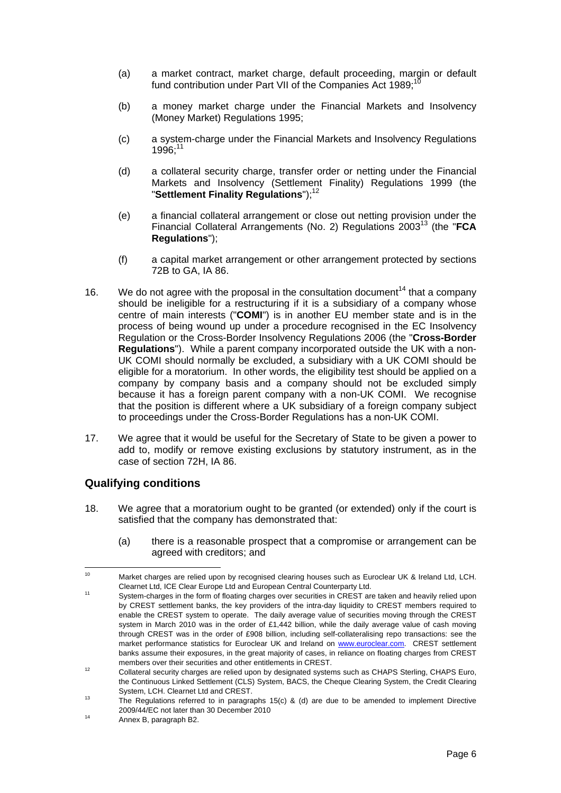- (a) a market contract, market charge, default proceeding, margin or default fund contribution under Part VII of the Companies Act  $1989$ ;<sup>11</sup>
- (b) a money market charge under the Financial Markets and Insolvency (Money Market) Regulations 1995;
- (c) a system-charge under the Financial Markets and Insolvency Regulations 1996;[11](#page-5-1)
- (d) a collateral security charge, transfer order or netting under the Financial Markets and Insolvency (Settlement Finality) Regulations 1999 (the "**Settlement Finality Regulations**");<sup>[12](#page-5-2)</sup>
- (e) a financial collateral arrangement or close out netting provision under the Financial Collateral Arrangements (No. 2) Regulations 2003[13](#page-5-3) (the "**FCA Regulations**");
- (f) a capital market arrangement or other arrangement protected by sections 72B to GA, IA 86.
- 16. We do not agree with the proposal in the consultation document<sup>14</sup> that a company should be ineligible for a restructuring if it is a subsidiary of a company whose centre of main interests ("**COMI**") is in another EU member state and is in the process of being wound up under a procedure recognised in the EC Insolvency Regulation or the Cross-Border Insolvency Regulations 2006 (the "**Cross-Border Regulations**"). While a parent company incorporated outside the UK with a non-UK COMI should normally be excluded, a subsidiary with a UK COMI should be eligible for a moratorium. In other words, the eligibility test should be applied on a company by company basis and a company should not be excluded simply because it has a foreign parent company with a non-UK COMI. We recognise that the position is different where a UK subsidiary of a foreign company subject to proceedings under the Cross-Border Regulations has a non-UK COMI.
- 17. We agree that it would be useful for the Secretary of State to be given a power to add to, modify or remove existing exclusions by statutory instrument, as in the case of section 72H, IA 86.

## **Qualifying conditions**

- 18. We agree that a moratorium ought to be granted (or extended) only if the court is satisfied that the company has demonstrated that:
	- (a) there is a reasonable prospect that a compromise or arrangement can be agreed with creditors; and

<span id="page-5-0"></span><sup>&</sup>lt;sup>10</sup> Market charges are relied upon by recognised clearing houses such as Euroclear UK & Ireland Ltd, LCH.

<span id="page-5-1"></span>Clearnet Ltd, ICE Clear Europe Ltd and European Central Counterparty Ltd.<br><sup>11</sup> System-charges in the form of floating charges over securities in CREST are taken and heavily relied upon by CREST settlement banks, the key providers of the intra-day liquidity to CREST members required to enable the CREST system to operate. The daily average value of securities moving through the CREST system in March 2010 was in the order of £1,442 billion, while the daily average value of cash moving through CREST was in the order of £908 billion, including self-collateralising repo transactions: see the market performance statistics for Euroclear UK and Ireland on [www.euroclear.com.](http://www.euroclear.com/) CREST settlement banks assume their exposures, in the great majority of cases, in reliance on floating charges from CREST

<span id="page-5-2"></span>members over their securities and other entitlements in CREST.<br><sup>12</sup> Collateral security charges are relied upon by designated systems such as CHAPS Sterling, CHAPS Euro, the Continuous Linked Settlement (CLS) System, BACS, the Cheque Clearing System, the Credit Clearing System, LCH. Clearnet Ltd and CREST.<br><sup>13</sup> The Regulations referred to in paragraphs 15(c) & (d) are due to be amended to implement Directive

<span id="page-5-3"></span><sup>2009/44/</sup>EC not later than 30 December 2010<br><sup>14</sup> Annex B, paragraph B2.

<span id="page-5-4"></span>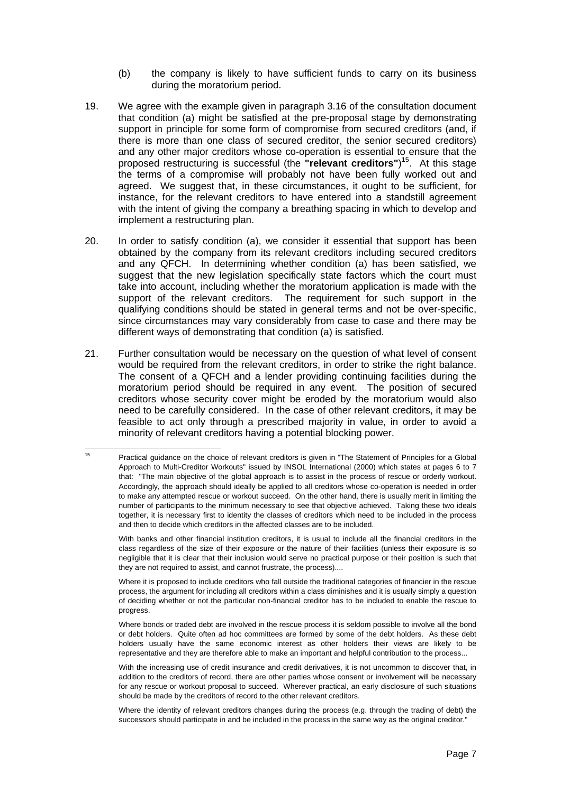- (b) the company is likely to have sufficient funds to carry on its business during the moratorium period.
- 19. We agree with the example given in paragraph 3.16 of the consultation document that condition (a) might be satisfied at the pre-proposal stage by demonstrating support in principle for some form of compromise from secured creditors (and, if there is more than one class of secured creditor, the senior secured creditors) and any other major creditors whose co-operation is essential to ensure that the proposed restructuring is successful (the **"relevant creditors"**) [15.](#page-6-0) At this stage the terms of a compromise will probably not have been fully worked out and agreed. We suggest that, in these circumstances, it ought to be sufficient, for instance, for the relevant creditors to have entered into a standstill agreement with the intent of giving the company a breathing spacing in which to develop and implement a restructuring plan.
- 20. In order to satisfy condition (a), we consider it essential that support has been obtained by the company from its relevant creditors including secured creditors and any QFCH. In determining whether condition (a) has been satisfied, we suggest that the new legislation specifically state factors which the court must take into account, including whether the moratorium application is made with the support of the relevant creditors. The requirement for such support in the qualifying conditions should be stated in general terms and not be over-specific, since circumstances may vary considerably from case to case and there may be different ways of demonstrating that condition (a) is satisfied.
- 21. Further consultation would be necessary on the question of what level of consent would be required from the relevant creditors, in order to strike the right balance. The consent of a QFCH and a lender providing continuing facilities during the moratorium period should be required in any event. The position of secured creditors whose security cover might be eroded by the moratorium would also need to be carefully considered. In the case of other relevant creditors, it may be feasible to act only through a prescribed majority in value, in order to avoid a minority of relevant creditors having a potential blocking power.

With banks and other financial institution creditors, it is usual to include all the financial creditors in the class regardless of the size of their exposure or the nature of their facilities (unless their exposure is so negligible that it is clear that their inclusion would serve no practical purpose or their position is such that they are not required to assist, and cannot frustrate, the process)....

Where it is proposed to include creditors who fall outside the traditional categories of financier in the rescue process, the argument for including all creditors within a class diminishes and it is usually simply a question of deciding whether or not the particular non-financial creditor has to be included to enable the rescue to progress.

Where bonds or traded debt are involved in the rescue process it is seldom possible to involve all the bond or debt holders. Quite often ad hoc committees are formed by some of the debt holders. As these debt holders usually have the same economic interest as other holders their views are likely to be representative and they are therefore able to make an important and helpful contribution to the process...

With the increasing use of credit insurance and credit derivatives, it is not uncommon to discover that, in addition to the creditors of record, there are other parties whose consent or involvement will be necessary for any rescue or workout proposal to succeed. Wherever practical, an early disclosure of such situations should be made by the creditors of record to the other relevant creditors.

<span id="page-6-0"></span><sup>&</sup>lt;sup>15</sup> Practical guidance on the choice of relevant creditors is given in "The Statement of Principles for a Global Approach to Multi-Creditor Workouts" issued by INSOL International (2000) which states at pages 6 to 7 that: "The main objective of the global approach is to assist in the process of rescue or orderly workout. Accordingly, the approach should ideally be applied to all creditors whose co-operation is needed in order to make any attempted rescue or workout succeed. On the other hand, there is usually merit in limiting the number of participants to the minimum necessary to see that objective achieved. Taking these two ideals together, it is necessary first to identity the classes of creditors which need to be included in the process and then to decide which creditors in the affected classes are to be included.

Where the identity of relevant creditors changes during the process (e.g. through the trading of debt) the successors should participate in and be included in the process in the same way as the original creditor."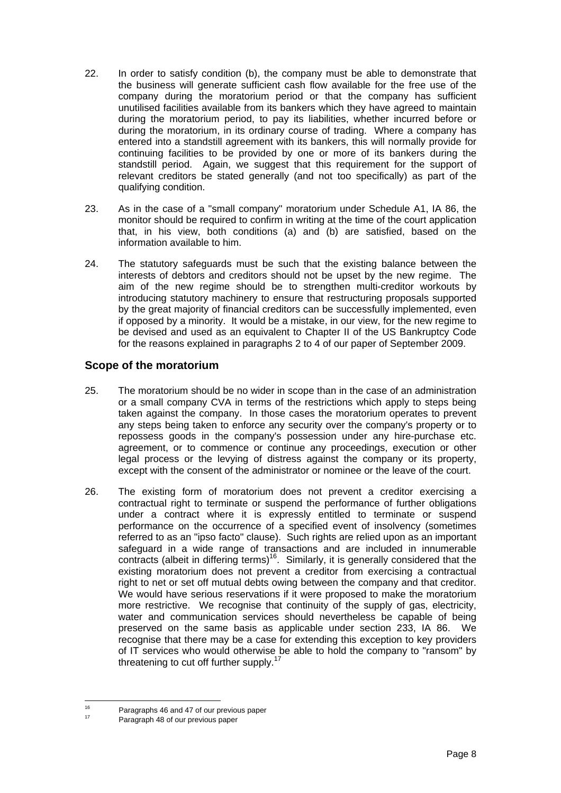- 22. In order to satisfy condition (b), the company must be able to demonstrate that the business will generate sufficient cash flow available for the free use of the company during the moratorium period or that the company has sufficient unutilised facilities available from its bankers which they have agreed to maintain during the moratorium period, to pay its liabilities, whether incurred before or during the moratorium, in its ordinary course of trading. Where a company has entered into a standstill agreement with its bankers, this will normally provide for continuing facilities to be provided by one or more of its bankers during the standstill period. Again, we suggest that this requirement for the support of relevant creditors be stated generally (and not too specifically) as part of the qualifying condition.
- 23. As in the case of a "small company" moratorium under Schedule A1, IA 86, the monitor should be required to confirm in writing at the time of the court application that, in his view, both conditions (a) and (b) are satisfied, based on the information available to him.
- 24. The statutory safeguards must be such that the existing balance between the interests of debtors and creditors should not be upset by the new regime. The aim of the new regime should be to strengthen multi-creditor workouts by introducing statutory machinery to ensure that restructuring proposals supported by the great majority of financial creditors can be successfully implemented, even if opposed by a minority. It would be a mistake, in our view, for the new regime to be devised and used as an equivalent to Chapter II of the US Bankruptcy Code for the reasons explained in paragraphs 2 to 4 of our paper of September 2009.

## **Scope of the moratorium**

- 25. The moratorium should be no wider in scope than in the case of an administration or a small company CVA in terms of the restrictions which apply to steps being taken against the company. In those cases the moratorium operates to prevent any steps being taken to enforce any security over the company's property or to repossess goods in the company's possession under any hire-purchase etc. agreement, or to commence or continue any proceedings, execution or other legal process or the levying of distress against the company or its property, except with the consent of the administrator or nominee or the leave of the court.
- 26. The existing form of moratorium does not prevent a creditor exercising a contractual right to terminate or suspend the performance of further obligations under a contract where it is expressly entitled to terminate or suspend performance on the occurrence of a specified event of insolvency (sometimes referred to as an "ipso facto" clause). Such rights are relied upon as an important safeguard in a wide range of transactions and are included in innumerable contracts (albeit in differing terms) $16$ . Similarly, it is generally considered that the existing moratorium does not prevent a creditor from exercising a contractual right to net or set off mutual debts owing between the company and that creditor. We would have serious reservations if it were proposed to make the moratorium more restrictive. We recognise that continuity of the supply of gas, electricity, water and communication services should nevertheless be capable of being preserved on the same basis as applicable under section 233, IA 86. We recognise that there may be a case for extending this exception to key providers of IT services who would otherwise be able to hold the company to "ransom" by threatening to cut off further supply.<sup>1</sup>

<span id="page-7-0"></span><sup>&</sup>lt;sup>16</sup> Paragraphs 46 and 47 of our previous paper<br><sup>17</sup> Paragraph 48 of our previous paper

<span id="page-7-1"></span>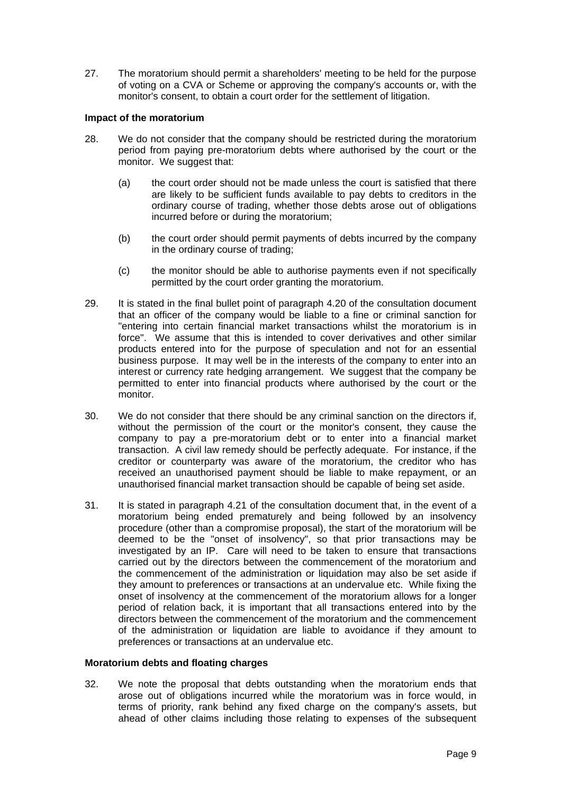27. The moratorium should permit a shareholders' meeting to be held for the purpose of voting on a CVA or Scheme or approving the company's accounts or, with the monitor's consent, to obtain a court order for the settlement of litigation.

## **Impact of the moratorium**

- 28. We do not consider that the company should be restricted during the moratorium period from paying pre-moratorium debts where authorised by the court or the monitor. We suggest that:
	- (a) the court order should not be made unless the court is satisfied that there are likely to be sufficient funds available to pay debts to creditors in the ordinary course of trading, whether those debts arose out of obligations incurred before or during the moratorium;
	- (b) the court order should permit payments of debts incurred by the company in the ordinary course of trading;
	- (c) the monitor should be able to authorise payments even if not specifically permitted by the court order granting the moratorium.
- 29. It is stated in the final bullet point of paragraph 4.20 of the consultation document that an officer of the company would be liable to a fine or criminal sanction for "entering into certain financial market transactions whilst the moratorium is in force". We assume that this is intended to cover derivatives and other similar products entered into for the purpose of speculation and not for an essential business purpose. It may well be in the interests of the company to enter into an interest or currency rate hedging arrangement. We suggest that the company be permitted to enter into financial products where authorised by the court or the monitor.
- 30. We do not consider that there should be any criminal sanction on the directors if, without the permission of the court or the monitor's consent, they cause the company to pay a pre-moratorium debt or to enter into a financial market transaction. A civil law remedy should be perfectly adequate. For instance, if the creditor or counterparty was aware of the moratorium, the creditor who has received an unauthorised payment should be liable to make repayment, or an unauthorised financial market transaction should be capable of being set aside.
- 31. It is stated in paragraph 4.21 of the consultation document that, in the event of a moratorium being ended prematurely and being followed by an insolvency procedure (other than a compromise proposal), the start of the moratorium will be deemed to be the "onset of insolvency", so that prior transactions may be investigated by an IP. Care will need to be taken to ensure that transactions carried out by the directors between the commencement of the moratorium and the commencement of the administration or liquidation may also be set aside if they amount to preferences or transactions at an undervalue etc. While fixing the onset of insolvency at the commencement of the moratorium allows for a longer period of relation back, it is important that all transactions entered into by the directors between the commencement of the moratorium and the commencement of the administration or liquidation are liable to avoidance if they amount to preferences or transactions at an undervalue etc.

#### **Moratorium debts and floating charges**

32. We note the proposal that debts outstanding when the moratorium ends that arose out of obligations incurred while the moratorium was in force would, in terms of priority, rank behind any fixed charge on the company's assets, but ahead of other claims including those relating to expenses of the subsequent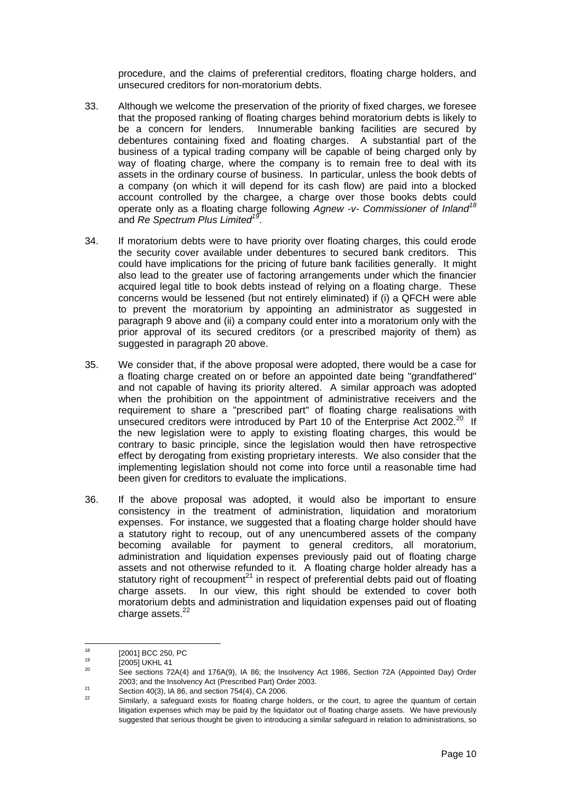procedure, and the claims of preferential creditors, floating charge holders, and unsecured creditors for non-moratorium debts.

- <span id="page-9-4"></span>33. Although we welcome the preservation of the priority of fixed charges, we foresee that the proposed ranking of floating charges behind moratorium debts is likely to be a concern for lenders. Innumerable banking facilities are secured by debentures containing fixed and floating charges. A substantial part of the business of a typical trading company will be capable of being charged only by way of floating charge, where the company is to remain free to deal with its assets in the ordinary course of business. In particular, unless the book debts of a company (on which it will depend for its cash flow) are paid into a blocked account controlled by the chargee, a charge over those books debts could operate only as a floating charge following *Agnew -v- Commissioner of Inland[18](#page-9-0)* and *Re Spectrum Plus Limited[19](#page-9-1)*.
- 34. If moratorium debts were to have priority over floating charges, this could erode the security cover available under debentures to secured bank creditors. This could have implications for the pricing of future bank facilities generally. It might also lead to the greater use of factoring arrangements under which the financier acquired legal title to book debts instead of relying on a floating charge. These concerns would be lessened (but not entirely eliminated) if (i) a QFCH were able to prevent the moratorium by appointing an administrator as suggested in paragraph 9 above and (ii) a company could enter into a moratorium only with the prior approval of its secured creditors (or a prescribed majority of them) as suggested in paragraph 20 above.
- 35. We consider that, if the above proposal were adopted, there would be a case for a floating charge created on or before an appointed date being "grandfathered" and not capable of having its priority altered. A similar approach was adopted when the prohibition on the appointment of administrative receivers and the requirement to share a "prescribed part" of floating charge realisations with unsecured creditors were introduced by Part 10 of the Enterprise Act 2002.<sup>20</sup> If the new legislation were to apply to existing floating charges, this would be contrary to basic principle, since the legislation would then have retrospective effect by derogating from existing proprietary interests. We also consider that the implementing legislation should not come into force until a reasonable time had been given for creditors to evaluate the implications.
- 36. If the above proposal was adopted, it would also be important to ensure consistency in the treatment of administration, liquidation and moratorium expenses. For instance, we suggested that a floating charge holder should have a statutory right to recoup, out of any unencumbered assets of the company becoming available for payment to general creditors, all moratorium, administration and liquidation expenses previously paid out of floating charge assets and not otherwise refunded to it. A floating charge holder already has a statutory right of recoupment<sup>21</sup> in respect of preferential debts paid out of floating charge assets. In our view, this right should be extended to cover both moratorium debts and administration and liquidation expenses paid out of floating charge assets.<sup>22</sup>

<span id="page-9-0"></span>

<span id="page-9-2"></span><span id="page-9-1"></span>

<sup>&</sup>lt;sup>18</sup> [2001] BCC 250, PC<br><sup>19</sup> [2005] UKHL 41 [2005] EVAL 41 See sections 72A(4) and 176A(9), IA 86; the Insolvency Act 1986, Section 72A (Appointed Day) Order 2003; and the Insolvency Act (Prescribed Part) Order 2003.<br>
<sup>21</sup> Section 40(3), IA 86, and section 754(4), CA 2006.<br>
<sup>22</sup> Similarly, a safeguard exists for floating charge holders, or the court, to agree the quantum of ce

<span id="page-9-3"></span>

litigation expenses which may be paid by the liquidator out of floating charge assets. We have previously suggested that serious thought be given to introducing a similar safeguard in relation to administrations, so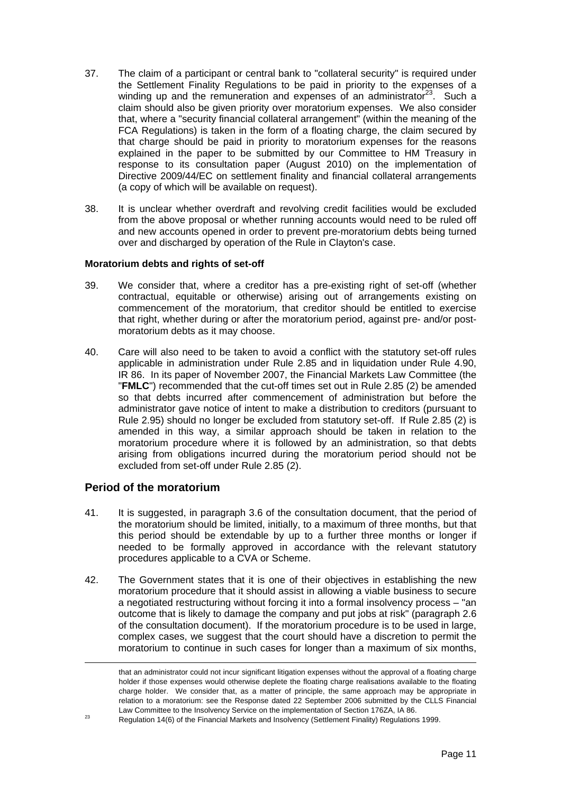- 37. The claim of a participant or central bank to "collateral security" is required under the Settlement Finality Regulations to be paid in priority to the expenses of a winding up and the remuneration and expenses of an administrator<sup>23</sup>. Such a claim should also be given priority over moratorium expenses. We also consider that, where a "security financial collateral arrangement" (within the meaning of the FCA Regulations) is taken in the form of a floating charge, the claim secured by that charge should be paid in priority to moratorium expenses for the reasons explained in the paper to be submitted by our Committee to HM Treasury in response to its consultation paper (August 2010) on the implementation of Directive 2009/44/EC on settlement finality and financial collateral arrangements (a copy of which will be available on request).
- 38. It is unclear whether overdraft and revolving credit facilities would be excluded from the above proposal or whether running accounts would need to be ruled off and new accounts opened in order to prevent pre-moratorium debts being turned over and discharged by operation of the Rule in Clayton's case.

#### **Moratorium debts and rights of set-off**

- 39. We consider that, where a creditor has a pre-existing right of set-off (whether contractual, equitable or otherwise) arising out of arrangements existing on commencement of the moratorium, that creditor should be entitled to exercise that right, whether during or after the moratorium period, against pre- and/or postmoratorium debts as it may choose.
- 40. Care will also need to be taken to avoid a conflict with the statutory set-off rules applicable in administration under Rule 2.85 and in liquidation under Rule 4.90, IR 86. In its paper of November 2007, the Financial Markets Law Committee (the "**FMLC**") recommended that the cut-off times set out in Rule 2.85 (2) be amended so that debts incurred after commencement of administration but before the administrator gave notice of intent to make a distribution to creditors (pursuant to Rule 2.95) should no longer be excluded from statutory set-off. If Rule 2.85 (2) is amended in this way, a similar approach should be taken in relation to the moratorium procedure where it is followed by an administration, so that debts arising from obligations incurred during the moratorium period should not be excluded from set-off under Rule 2.85 (2).

## **Period of the moratorium**

- 41. It is suggested, in paragraph 3.6 of the consultation document, that the period of the moratorium should be limited, initially, to a maximum of three months, but that this period should be extendable by up to a further three months or longer if needed to be formally approved in accordance with the relevant statutory procedures applicable to a CVA or Scheme.
- 42. The Government states that it is one of their objectives in establishing the new moratorium procedure that it should assist in allowing a viable business to secure a negotiated restructuring without forcing it into a formal insolvency process – "an outcome that is likely to damage the company and put jobs at risk" (paragraph 2.6 of the consultation document). If the moratorium procedure is to be used in large, complex cases, we suggest that the court should have a discretion to permit the moratorium to continue in such cases for longer than a maximum of six months,

that an administrator could not incur significant litigation expenses without the approval of a floating charge holder if those expenses would otherwise deplete the floating charge realisations available to the floating charge holder. We consider that, as a matter of principle, the same approach may be appropriate in relation to a moratorium: see the Response dated 22 September 2006 submitted by the CLLS Financial

<span id="page-10-0"></span>Law Committee to the Insolvency Service on the implementation of Section 176ZA, IA 86.<br><sup>23</sup> Regulation 14(6) of the Financial Markets and Insolvency (Settlement Finality) Regulations 1999.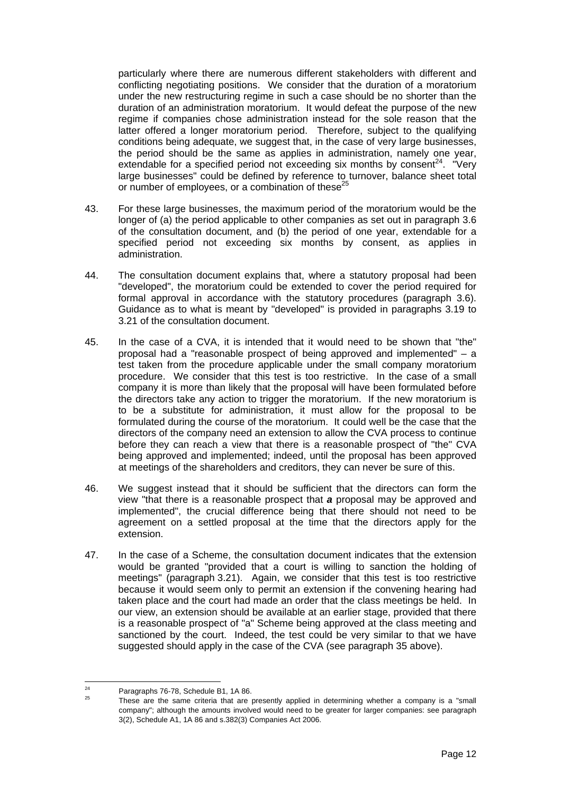particularly where there are numerous different stakeholders with different and conflicting negotiating positions. We consider that the duration of a moratorium under the new restructuring regime in such a case should be no shorter than the duration of an administration moratorium. It would defeat the purpose of the new regime if companies chose administration instead for the sole reason that the latter offered a longer moratorium period. Therefore, subject to the qualifying conditions being adequate, we suggest that, in the case of very large businesses, the period should be the same as applies in administration, namely one year, extendable for a specified period not exceeding six months by consent<sup>24</sup>. "Very large businesses" could be defined by reference to turnover, balance sheet total or number of employees, or a combination of these<sup>[25](#page-11-1)</sup>

- 43. For these large businesses, the maximum period of the moratorium would be the longer of (a) the period applicable to other companies as set out in paragraph 3.6 of the consultation document, and (b) the period of one year, extendable for a specified period not exceeding six months by consent, as applies in administration.
- 44. The consultation document explains that, where a statutory proposal had been "developed", the moratorium could be extended to cover the period required for formal approval in accordance with the statutory procedures (paragraph 3.6). Guidance as to what is meant by "developed" is provided in paragraphs 3.19 to 3.21 of the consultation document.
- 45. In the case of a CVA, it is intended that it would need to be shown that "the" proposal had a "reasonable prospect of being approved and implemented" – a test taken from the procedure applicable under the small company moratorium procedure. We consider that this test is too restrictive. In the case of a small company it is more than likely that the proposal will have been formulated before the directors take any action to trigger the moratorium. If the new moratorium is to be a substitute for administration, it must allow for the proposal to be formulated during the course of the moratorium. It could well be the case that the directors of the company need an extension to allow the CVA process to continue before they can reach a view that there is a reasonable prospect of "the" CVA being approved and implemented; indeed, until the proposal has been approved at meetings of the shareholders and creditors, they can never be sure of this.
- 46. We suggest instead that it should be sufficient that the directors can form the view "that there is a reasonable prospect that *a* proposal may be approved and implemented", the crucial difference being that there should not need to be agreement on a settled proposal at the time that the directors apply for the extension.
- 47. In the case of a Scheme, the consultation document indicates that the extension would be granted "provided that a court is willing to sanction the holding of meetings" (paragraph 3.21). Again, we consider that this test is too restrictive because it would seem only to permit an extension if the convening hearing had taken place and the court had made an order that the class meetings be held. In our view, an extension should be available at an earlier stage, provided that there is a reasonable prospect of "a" Scheme being approved at the class meeting and sanctioned by the court. Indeed, the test could be very similar to that we have suggested should apply in the case of the CVA (see paragraph 35 above).

<span id="page-11-1"></span><span id="page-11-0"></span>

<sup>&</sup>lt;sup>24</sup> Paragraphs 76-78, Schedule B1, 1A 86.<br><sup>25</sup> These are the same criteria that are presently applied in determining whether a company is a "small company"; although the amounts involved would need to be greater for larger companies: see paragraph 3(2), Schedule A1, 1A 86 and s.382(3) Companies Act 2006.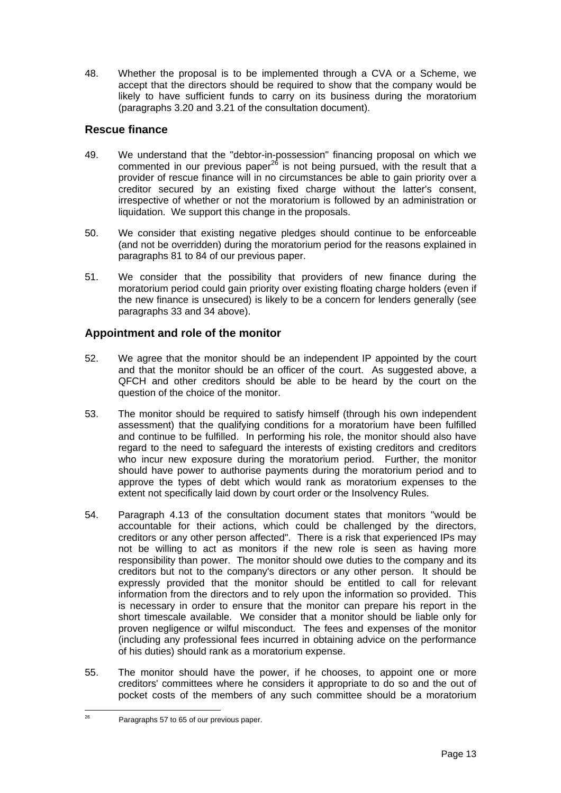48. Whether the proposal is to be implemented through a CVA or a Scheme, we accept that the directors should be required to show that the company would be likely to have sufficient funds to carry on its business during the moratorium (paragraphs 3.20 and 3.21 of the consultation document).

## **Rescue finance**

- 49. We understand that the "debtor-in-possession" financing proposal on which we commented in our previous paper<sup>26</sup> is not being pursued, with the result that a provider of rescue finance will in no circumstances be able to gain priority over a creditor secured by an existing fixed charge without the latter's consent, irrespective of whether or not the moratorium is followed by an administration or liquidation. We support this change in the proposals.
- 50. We consider that existing negative pledges should continue to be enforceable (and not be overridden) during the moratorium period for the reasons explained in paragraphs 81 to 84 of our previous paper.
- 51. We consider that the possibility that providers of new finance during the moratorium period could gain priority over existing floating charge holders (even if the new finance is unsecured) is likely to be a concern for lenders generally (see paragraphs 33 and 34 above).

## **Appointment and role of the monitor**

- 52. We agree that the monitor should be an independent IP appointed by the court and that the monitor should be an officer of the court. As suggested above, a QFCH and other creditors should be able to be heard by the court on the question of the choice of the monitor.
- 53. The monitor should be required to satisfy himself (through his own independent assessment) that the qualifying conditions for a moratorium have been fulfilled and continue to be fulfilled. In performing his role, the monitor should also have regard to the need to safeguard the interests of existing creditors and creditors who incur new exposure during the moratorium period. Further, the monitor should have power to authorise payments during the moratorium period and to approve the types of debt which would rank as moratorium expenses to the extent not specifically laid down by court order or the Insolvency Rules.
- 54. Paragraph 4.13 of the consultation document states that monitors "would be accountable for their actions, which could be challenged by the directors, creditors or any other person affected". There is a risk that experienced IPs may not be willing to act as monitors if the new role is seen as having more responsibility than power. The monitor should owe duties to the company and its creditors but not to the company's directors or any other person. It should be expressly provided that the monitor should be entitled to call for relevant information from the directors and to rely upon the information so provided. This is necessary in order to ensure that the monitor can prepare his report in the short timescale available. We consider that a monitor should be liable only for proven negligence or wilful misconduct. The fees and expenses of the monitor (including any professional fees incurred in obtaining advice on the performance of his duties) should rank as a moratorium expense.
- 55. The monitor should have the power, if he chooses, to appoint one or more creditors' committees where he considers it appropriate to do so and the out of pocket costs of the members of any such committee should be a moratorium

<span id="page-12-0"></span><sup>&</sup>lt;sup>26</sup> Paragraphs 57 to 65 of our previous paper.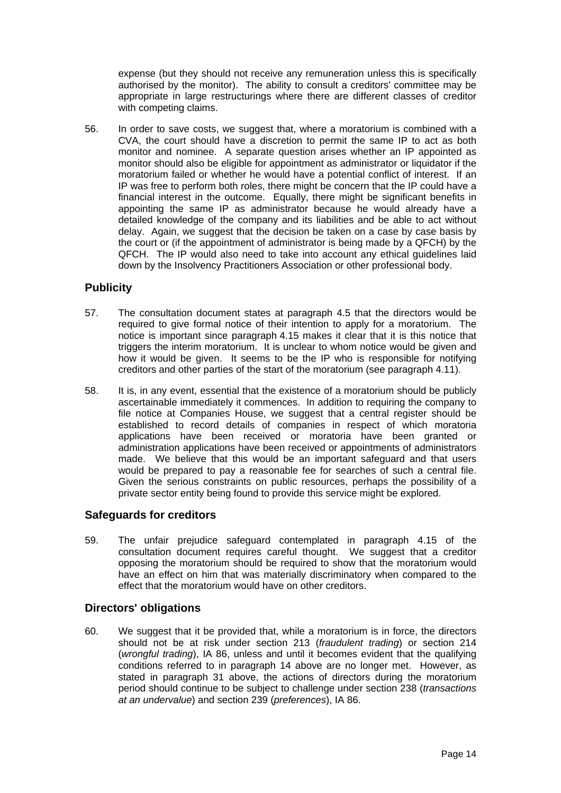expense (but they should not receive any remuneration unless this is specifically authorised by the monitor). The ability to consult a creditors' committee may be appropriate in large restructurings where there are different classes of creditor with competing claims.

56. In order to save costs, we suggest that, where a moratorium is combined with a CVA, the court should have a discretion to permit the same IP to act as both monitor and nominee. A separate question arises whether an IP appointed as monitor should also be eligible for appointment as administrator or liquidator if the moratorium failed or whether he would have a potential conflict of interest. If an IP was free to perform both roles, there might be concern that the IP could have a financial interest in the outcome. Equally, there might be significant benefits in appointing the same IP as administrator because he would already have a detailed knowledge of the company and its liabilities and be able to act without delay. Again, we suggest that the decision be taken on a case by case basis by the court or (if the appointment of administrator is being made by a QFCH) by the QFCH. The IP would also need to take into account any ethical guidelines laid down by the Insolvency Practitioners Association or other professional body.

## **Publicity**

- 57. The consultation document states at paragraph 4.5 that the directors would be required to give formal notice of their intention to apply for a moratorium. The notice is important since paragraph 4.15 makes it clear that it is this notice that triggers the interim moratorium. It is unclear to whom notice would be given and how it would be given. It seems to be the IP who is responsible for notifying creditors and other parties of the start of the moratorium (see paragraph 4.11).
- 58. It is, in any event, essential that the existence of a moratorium should be publicly ascertainable immediately it commences. In addition to requiring the company to file notice at Companies House, we suggest that a central register should be established to record details of companies in respect of which moratoria applications have been received or moratoria have been granted or administration applications have been received or appointments of administrators made. We believe that this would be an important safeguard and that users would be prepared to pay a reasonable fee for searches of such a central file. Given the serious constraints on public resources, perhaps the possibility of a private sector entity being found to provide this service might be explored.

## **Safeguards for creditors**

59. The unfair prejudice safeguard contemplated in paragraph 4.15 of the consultation document requires careful thought. We suggest that a creditor opposing the moratorium should be required to show that the moratorium would have an effect on him that was materially discriminatory when compared to the effect that the moratorium would have on other creditors.

## **Directors' obligations**

60. We suggest that it be provided that, while a moratorium is in force, the directors should not be at risk under section 213 (*fraudulent trading*) or section 214 (*wrongful trading*), IA 86, unless and until it becomes evident that the qualifying conditions referred to in paragraph 14 above are no longer met. However, as stated in paragraph 31 above, the actions of directors during the moratorium period should continue to be subject to challenge under section 238 (*transactions at an undervalue*) and section 239 (*preferences*), IA 86.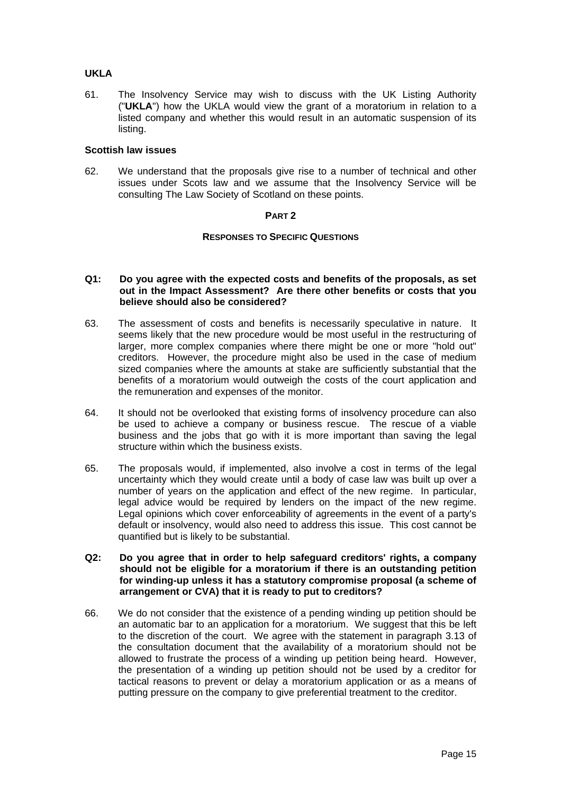## **UKLA**

61. The Insolvency Service may wish to discuss with the UK Listing Authority ("**UKLA**") how the UKLA would view the grant of a moratorium in relation to a listed company and whether this would result in an automatic suspension of its listing.

#### **Scottish law issues**

62. We understand that the proposals give rise to a number of technical and other issues under Scots law and we assume that the Insolvency Service will be consulting The Law Society of Scotland on these points.

#### **PART 2**

#### **RESPONSES TO SPECIFIC QUESTIONS**

#### **Q1: Do you agree with the expected costs and benefits of the proposals, as set out in the Impact Assessment? Are there other benefits or costs that you believe should also be considered?**

- 63. The assessment of costs and benefits is necessarily speculative in nature. It seems likely that the new procedure would be most useful in the restructuring of larger, more complex companies where there might be one or more "hold out" creditors. However, the procedure might also be used in the case of medium sized companies where the amounts at stake are sufficiently substantial that the benefits of a moratorium would outweigh the costs of the court application and the remuneration and expenses of the monitor.
- 64. It should not be overlooked that existing forms of insolvency procedure can also be used to achieve a company or business rescue. The rescue of a viable business and the jobs that go with it is more important than saving the legal structure within which the business exists.
- 65. The proposals would, if implemented, also involve a cost in terms of the legal uncertainty which they would create until a body of case law was built up over a number of years on the application and effect of the new regime. In particular, legal advice would be required by lenders on the impact of the new regime. Legal opinions which cover enforceability of agreements in the event of a party's default or insolvency, would also need to address this issue. This cost cannot be quantified but is likely to be substantial.

#### **Q2: Do you agree that in order to help safeguard creditors' rights, a company should not be eligible for a moratorium if there is an outstanding petition for winding-up unless it has a statutory compromise proposal (a scheme of arrangement or CVA) that it is ready to put to creditors?**

66. We do not consider that the existence of a pending winding up petition should be an automatic bar to an application for a moratorium. We suggest that this be left to the discretion of the court. We agree with the statement in paragraph 3.13 of the consultation document that the availability of a moratorium should not be allowed to frustrate the process of a winding up petition being heard. However, the presentation of a winding up petition should not be used by a creditor for tactical reasons to prevent or delay a moratorium application or as a means of putting pressure on the company to give preferential treatment to the creditor.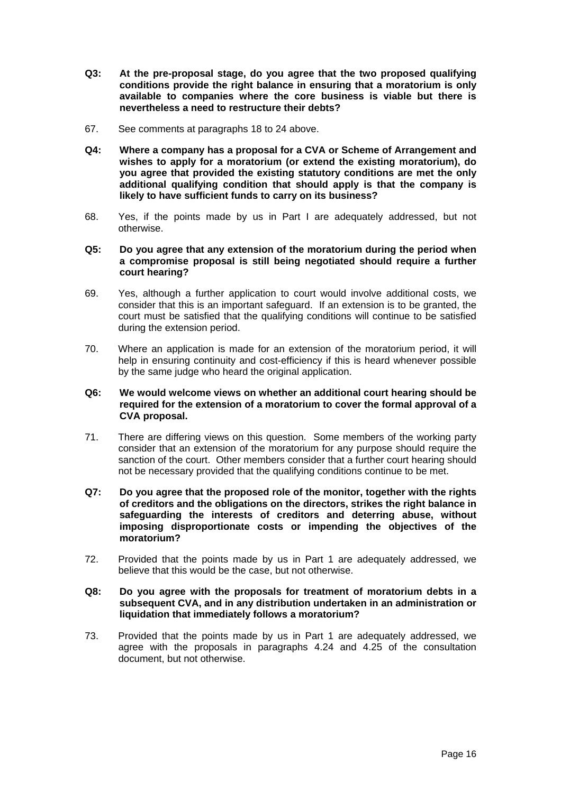- **Q3: At the pre-proposal stage, do you agree that the two proposed qualifying conditions provide the right balance in ensuring that a moratorium is only available to companies where the core business is viable but there is nevertheless a need to restructure their debts?**
- 67. See comments at paragraphs 18 to 24 above.
- **Q4: Where a company has a proposal for a CVA or Scheme of Arrangement and wishes to apply for a moratorium (or extend the existing moratorium), do you agree that provided the existing statutory conditions are met the only additional qualifying condition that should apply is that the company is likely to have sufficient funds to carry on its business?**
- 68. Yes, if the points made by us in Part I are adequately addressed, but not otherwise.
- **Q5: Do you agree that any extension of the moratorium during the period when a compromise proposal is still being negotiated should require a further court hearing?**
- 69. Yes, although a further application to court would involve additional costs, we consider that this is an important safeguard. If an extension is to be granted, the court must be satisfied that the qualifying conditions will continue to be satisfied during the extension period.
- 70. Where an application is made for an extension of the moratorium period, it will help in ensuring continuity and cost-efficiency if this is heard whenever possible by the same judge who heard the original application.

## **Q6: We would welcome views on whether an additional court hearing should be required for the extension of a moratorium to cover the formal approval of a CVA proposal.**

- 71. There are differing views on this question. Some members of the working party consider that an extension of the moratorium for any purpose should require the sanction of the court. Other members consider that a further court hearing should not be necessary provided that the qualifying conditions continue to be met.
- **Q7: Do you agree that the proposed role of the monitor, together with the rights of creditors and the obligations on the directors, strikes the right balance in safeguarding the interests of creditors and deterring abuse, without imposing disproportionate costs or impending the objectives of the moratorium?**
- 72. Provided that the points made by us in Part 1 are adequately addressed, we believe that this would be the case, but not otherwise.
- **Q8: Do you agree with the proposals for treatment of moratorium debts in a subsequent CVA, and in any distribution undertaken in an administration or liquidation that immediately follows a moratorium?**
- 73. Provided that the points made by us in Part 1 are adequately addressed, we agree with the proposals in paragraphs 4.24 and 4.25 of the consultation document, but not otherwise.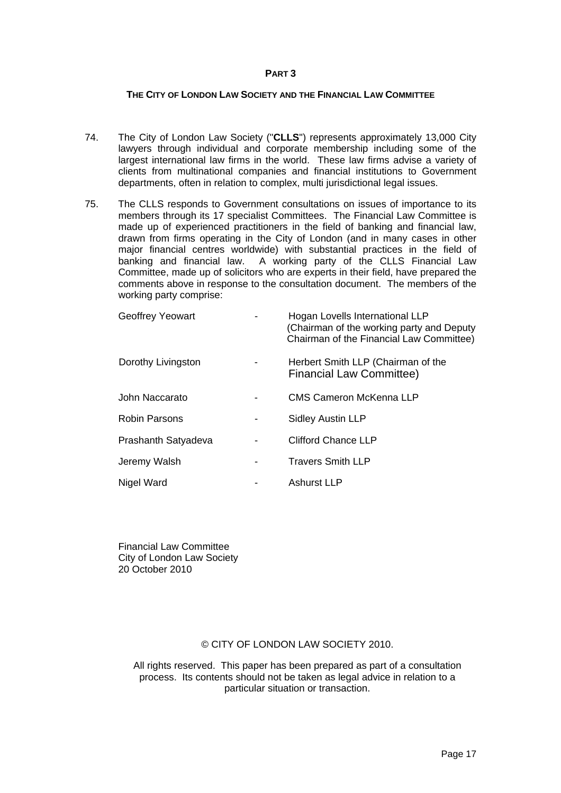#### **PART 3**

#### **THE CITY OF LONDON LAW SOCIETY AND THE FINANCIAL LAW COMMITTEE**

- 74. The City of London Law Society ("**CLLS**") represents approximately 13,000 City lawyers through individual and corporate membership including some of the largest international law firms in the world. These law firms advise a variety of clients from multinational companies and financial institutions to Government departments, often in relation to complex, multi jurisdictional legal issues.
- 75. The CLLS responds to Government consultations on issues of importance to its members through its 17 specialist Committees. The Financial Law Committee is made up of experienced practitioners in the field of banking and financial law, drawn from firms operating in the City of London (and in many cases in other major financial centres worldwide) with substantial practices in the field of banking and financial law. A working party of the CLLS Financial Law Committee, made up of solicitors who are experts in their field, have prepared the comments above in response to the consultation document. The members of the working party comprise:

| <b>Geoffrey Yeowart</b> |                              | Hogan Lovells International LLP<br>(Chairman of the working party and Deputy<br>Chairman of the Financial Law Committee) |
|-------------------------|------------------------------|--------------------------------------------------------------------------------------------------------------------------|
| Dorothy Livingston      |                              | Herbert Smith LLP (Chairman of the<br><b>Financial Law Committee)</b>                                                    |
| John Naccarato          |                              | CMS Cameron McKenna LLP                                                                                                  |
| <b>Robin Parsons</b>    | $\qquad \qquad \blacksquare$ | <b>Sidley Austin LLP</b>                                                                                                 |
| Prashanth Satyadeva     |                              | Clifford Chance LLP                                                                                                      |
| Jeremy Walsh            |                              | <b>Travers Smith LLP</b>                                                                                                 |
| Nigel Ward              |                              | Ashurst LLP                                                                                                              |

Financial Law Committee City of London Law Society 20 October 2010

## © CITY OF LONDON LAW SOCIETY 2010.

All rights reserved. This paper has been prepared as part of a consultation process. Its contents should not be taken as legal advice in relation to a particular situation or transaction.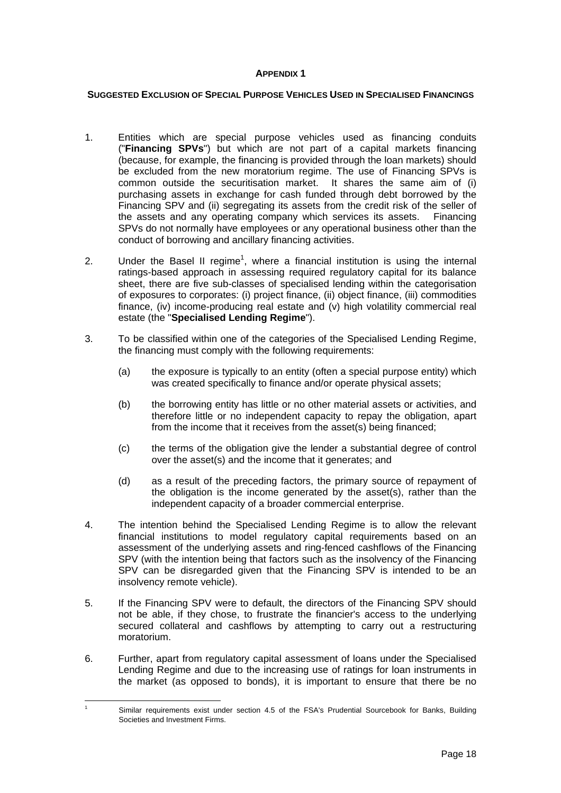#### **APPENDIX 1**

## **SUGGESTED EXCLUSION OF SPECIAL PURPOSE VEHICLES USED IN SPECIALISED FINANCINGS**

- 1. Entities which are special purpose vehicles used as financing conduits ("**Financing SPVs**") but which are not part of a capital markets financing (because, for example, the financing is provided through the loan markets) should be excluded from the new moratorium regime. The use of Financing SPVs is common outside the securitisation market. It shares the same aim of (i) purchasing assets in exchange for cash funded through debt borrowed by the Financing SPV and (ii) segregating its assets from the credit risk of the seller of the assets and any operating company which services its assets. Financing SPVs do not normally have employees or any operational business other than the conduct of borrowing and ancillary financing activities.
- 2. Under the Basel II regime<sup>[1](#page-17-0)</sup>, where a financial institution is using the internal ratings-based approach in assessing required regulatory capital for its balance sheet, there are five sub-classes of specialised lending within the categorisation of exposures to corporates: (i) project finance, (ii) object finance, (iii) commodities finance, (iv) income-producing real estate and (v) high volatility commercial real estate (the "**Specialised Lending Regime**").
- 3. To be classified within one of the categories of the Specialised Lending Regime, the financing must comply with the following requirements:
	- (a) the exposure is typically to an entity (often a special purpose entity) which was created specifically to finance and/or operate physical assets;
	- (b) the borrowing entity has little or no other material assets or activities, and therefore little or no independent capacity to repay the obligation, apart from the income that it receives from the asset(s) being financed;
	- (c) the terms of the obligation give the lender a substantial degree of control over the asset(s) and the income that it generates; and
	- (d) as a result of the preceding factors, the primary source of repayment of the obligation is the income generated by the asset(s), rather than the independent capacity of a broader commercial enterprise.
- 4. The intention behind the Specialised Lending Regime is to allow the relevant financial institutions to model regulatory capital requirements based on an assessment of the underlying assets and ring-fenced cashflows of the Financing SPV (with the intention being that factors such as the insolvency of the Financing SPV can be disregarded given that the Financing SPV is intended to be an insolvency remote vehicle).
- 5. If the Financing SPV were to default, the directors of the Financing SPV should not be able, if they chose, to frustrate the financier's access to the underlying secured collateral and cashflows by attempting to carry out a restructuring moratorium.
- 6. Further, apart from regulatory capital assessment of loans under the Specialised Lending Regime and due to the increasing use of ratings for loan instruments in the market (as opposed to bonds), it is important to ensure that there be no

<span id="page-17-0"></span> <sup>1</sup> Similar requirements exist under section 4.5 of the FSA's Prudential Sourcebook for Banks, Building Societies and Investment Firms.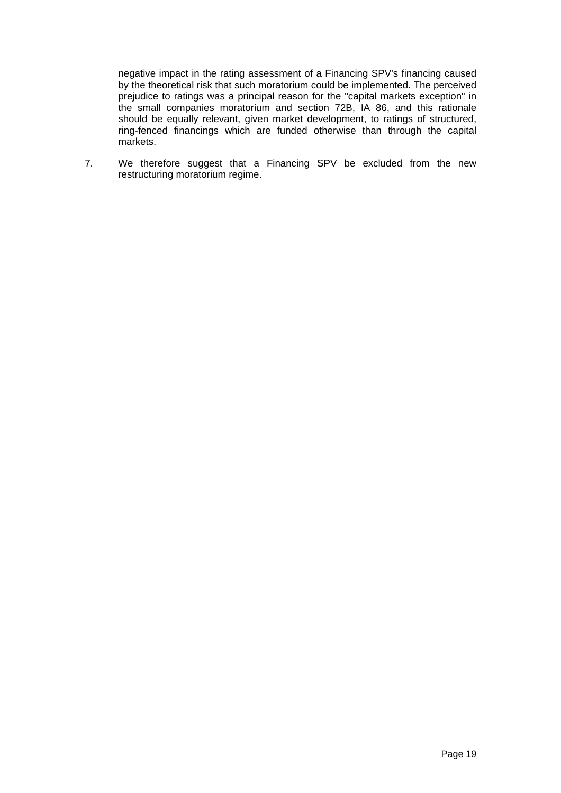negative impact in the rating assessment of a Financing SPV's financing caused by the theoretical risk that such moratorium could be implemented. The perceived prejudice to ratings was a principal reason for the "capital markets exception" in the small companies moratorium and section 72B, IA 86, and this rationale should be equally relevant, given market development, to ratings of structured, ring-fenced financings which are funded otherwise than through the capital markets.

7. We therefore suggest that a Financing SPV be excluded from the new restructuring moratorium regime.